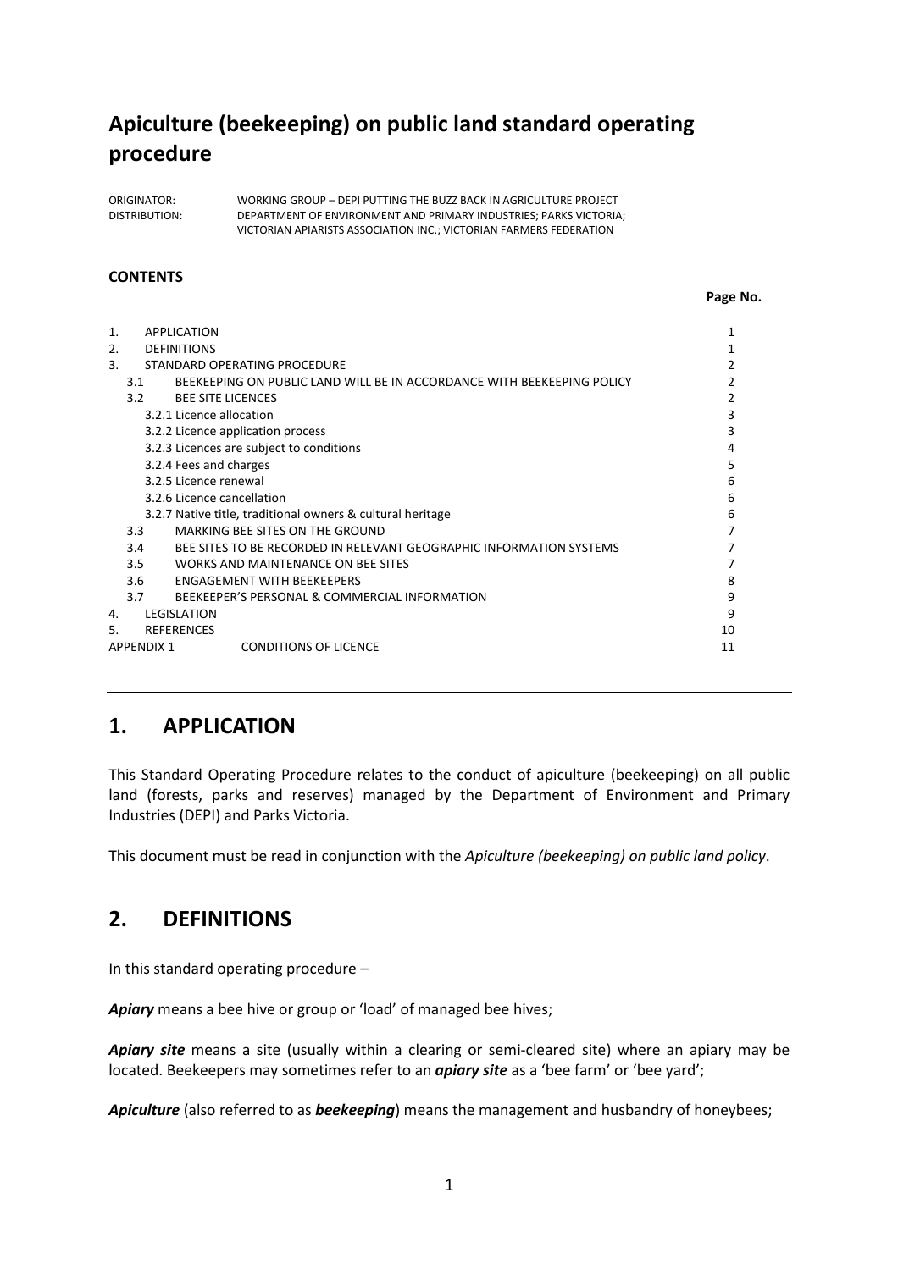# **Apiculture (beekeeping) on public land standard operating procedure**

ORIGINATOR: WORKING GROUP – DEPI PUTTING THE BUZZ BACK IN AGRICULTURE PROJECT DISTRIBUTION: DEPARTMENT OF ENVIRONMENT AND PRIMARY INDUSTRIES; PARKS VICTORIA; VICTORIAN APIARISTS ASSOCIATION INC.; VICTORIAN FARMERS FEDERATION

#### **CONTENTS**

|  | Page No. |
|--|----------|
|  |          |

| 1.                                 |                   | <b>APPLICATION</b>                                                     |    |
|------------------------------------|-------------------|------------------------------------------------------------------------|----|
| 2.<br><b>DEFINITIONS</b>           |                   |                                                                        |    |
| 3.<br>STANDARD OPERATING PROCEDURE |                   |                                                                        |    |
|                                    | 3.1               | BEEKEEPING ON PUBLIC LAND WILL BE IN ACCORDANCE WITH BEEKEEPING POLICY |    |
|                                    | 3.2               | <b>BEE SITE LICENCES</b>                                               |    |
|                                    |                   | 3.2.1 Licence allocation                                               | 3  |
|                                    |                   | 3.2.2 Licence application process                                      |    |
|                                    |                   | 3.2.3 Licences are subject to conditions                               | 4  |
|                                    |                   | 3.2.4 Fees and charges                                                 | 5  |
|                                    |                   | 3.2.5 Licence renewal                                                  | 6  |
|                                    |                   | 3.2.6 Licence cancellation                                             | 6  |
|                                    |                   | 3.2.7 Native title, traditional owners & cultural heritage             | 6  |
|                                    | 3.3 <sub>1</sub>  | MARKING BEE SITES ON THE GROUND                                        |    |
|                                    | 3.4               | BEE SITES TO BE RECORDED IN RELEVANT GEOGRAPHIC INFORMATION SYSTEMS    |    |
|                                    | 3.5               | WORKS AND MAINTENANCE ON BEE SITES                                     |    |
|                                    | 3.6               | <b>FNGAGEMENT WITH BEFKEEPERS</b>                                      | 8  |
|                                    | 3.7               | BEEKEEPER'S PERSONAL & COMMERCIAL INFORMATION                          | 9  |
| 4.                                 |                   | <b>LEGISLATION</b>                                                     | 9  |
| 5.                                 |                   | <b>REFERENCES</b>                                                      | 10 |
|                                    | <b>APPENDIX 1</b> | <b>CONDITIONS OF LICENCE</b>                                           | 11 |
|                                    |                   |                                                                        |    |

# **1. APPLICATION**

This Standard Operating Procedure relates to the conduct of apiculture (beekeeping) on all public land (forests, parks and reserves) managed by the Department of Environment and Primary Industries (DEPI) and Parks Victoria.

This document must be read in conjunction with the *Apiculture (beekeeping) on public land policy*.

# **2. DEFINITIONS**

In this standard operating procedure –

*Apiary* means a bee hive or group or 'load' of managed bee hives;

*Apiary site* means a site (usually within a clearing or semi-cleared site) where an apiary may be located. Beekeepers may sometimes refer to an *apiary site* as a 'bee farm' or 'bee yard';

*Apiculture* (also referred to as *beekeeping*) means the management and husbandry of honeybees;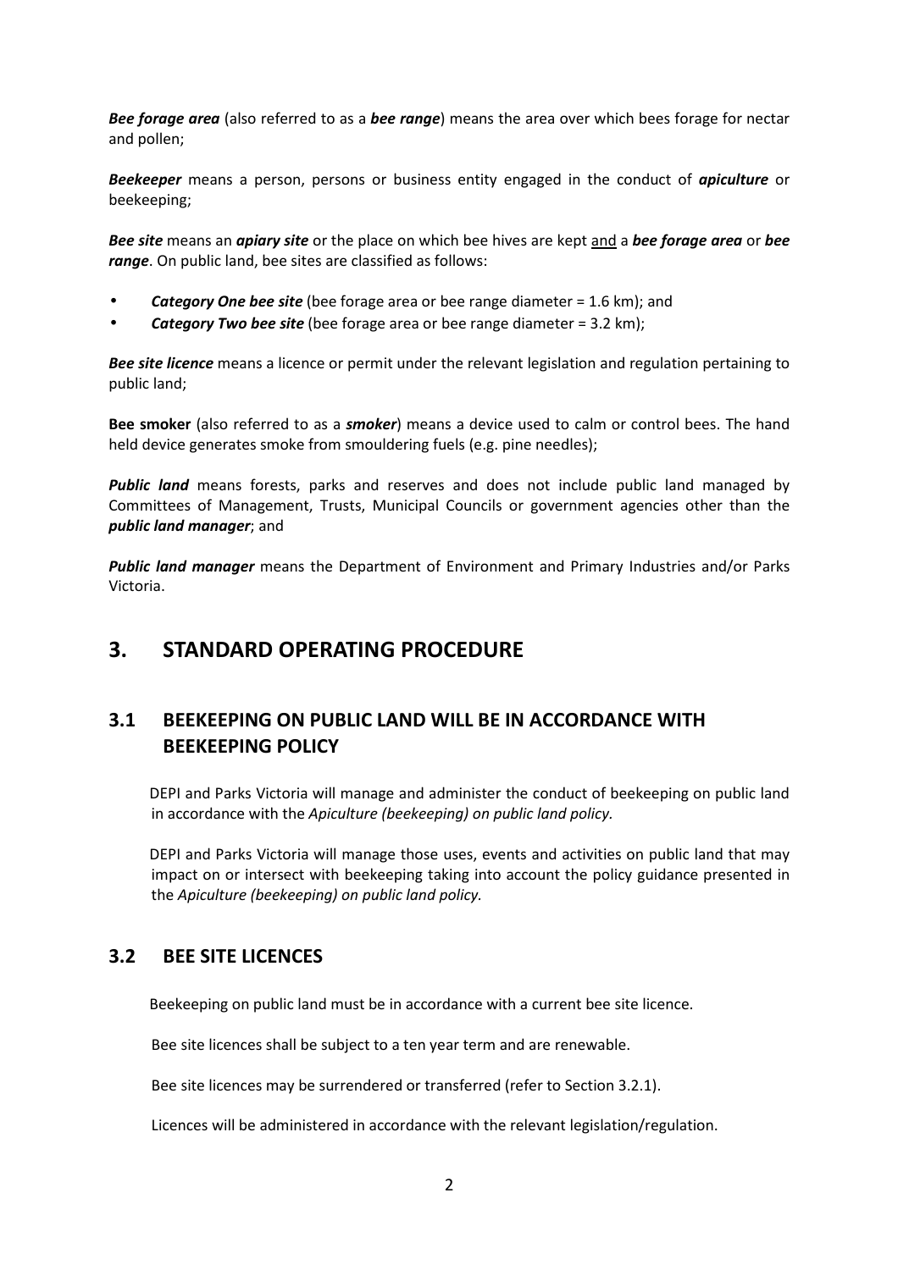*Bee forage area* (also referred to as a *bee range*) means the area over which bees forage for nectar and pollen;

*Beekeeper* means a person, persons or business entity engaged in the conduct of *apiculture* or beekeeping;

*Bee site* means an *apiary site* or the place on which bee hives are kept and a *bee forage area* or *bee range*. On public land, bee sites are classified as follows:

- *Category One bee site* (bee forage area or bee range diameter = 1.6 km); and
- *Category Two bee site* (bee forage area or bee range diameter = 3.2 km);

*Bee site licence* means a licence or permit under the relevant legislation and regulation pertaining to public land;

**Bee smoker** (also referred to as a *smoker*) means a device used to calm or control bees. The hand held device generates smoke from smouldering fuels (e.g. pine needles);

**Public land** means forests, parks and reserves and does not include public land managed by Committees of Management, Trusts, Municipal Councils or government agencies other than the *public land manager*; and

*Public land manager* means the Department of Environment and Primary Industries and/or Parks Victoria.

# **3. STANDARD OPERATING PROCEDURE**

# **3.1 BEEKEEPING ON PUBLIC LAND WILL BE IN ACCORDANCE WITH BEEKEEPING POLICY**

DEPI and Parks Victoria will manage and administer the conduct of beekeeping on public land in accordance with the *Apiculture (beekeeping) on public land policy.*

DEPI and Parks Victoria will manage those uses, events and activities on public land that may impact on or intersect with beekeeping taking into account the policy guidance presented in the *Apiculture (beekeeping) on public land policy.*

## **3.2 BEE SITE LICENCES**

Beekeeping on public land must be in accordance with a current bee site licence.

Bee site licences shall be subject to a ten year term and are renewable.

Bee site licences may be surrendered or transferred (refer to Section 3.2.1).

Licences will be administered in accordance with the relevant legislation/regulation.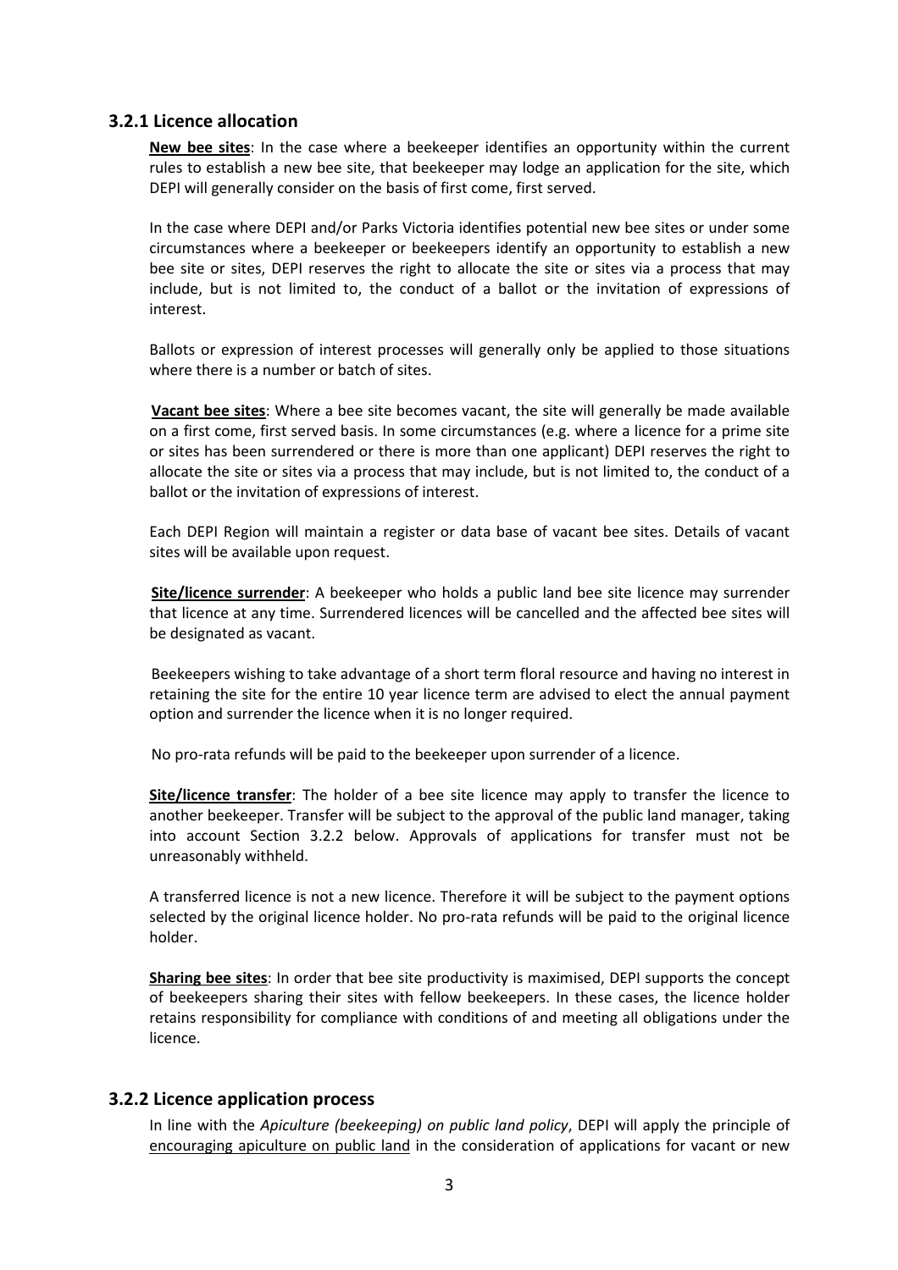#### **3.2.1 Licence allocation**

**New bee sites**: In the case where a beekeeper identifies an opportunity within the current rules to establish a new bee site, that beekeeper may lodge an application for the site, which DEPI will generally consider on the basis of first come, first served.

In the case where DEPI and/or Parks Victoria identifies potential new bee sites or under some circumstances where a beekeeper or beekeepers identify an opportunity to establish a new bee site or sites, DEPI reserves the right to allocate the site or sites via a process that may include, but is not limited to, the conduct of a ballot or the invitation of expressions of interest.

Ballots or expression of interest processes will generally only be applied to those situations where there is a number or batch of sites.

**Vacant bee sites**: Where a bee site becomes vacant, the site will generally be made available on a first come, first served basis. In some circumstances (e.g. where a licence for a prime site or sites has been surrendered or there is more than one applicant) DEPI reserves the right to allocate the site or sites via a process that may include, but is not limited to, the conduct of a ballot or the invitation of expressions of interest.

Each DEPI Region will maintain a register or data base of vacant bee sites. Details of vacant sites will be available upon request.

**Site/licence surrender**: A beekeeper who holds a public land bee site licence may surrender that licence at any time. Surrendered licences will be cancelled and the affected bee sites will be designated as vacant.

Beekeepers wishing to take advantage of a short term floral resource and having no interest in retaining the site for the entire 10 year licence term are advised to elect the annual payment option and surrender the licence when it is no longer required.

No pro-rata refunds will be paid to the beekeeper upon surrender of a licence.

**Site/licence transfer**: The holder of a bee site licence may apply to transfer the licence to another beekeeper. Transfer will be subject to the approval of the public land manager, taking into account Section 3.2.2 below. Approvals of applications for transfer must not be unreasonably withheld.

A transferred licence is not a new licence. Therefore it will be subject to the payment options selected by the original licence holder. No pro-rata refunds will be paid to the original licence holder.

**Sharing bee sites**: In order that bee site productivity is maximised, DEPI supports the concept of beekeepers sharing their sites with fellow beekeepers. In these cases, the licence holder retains responsibility for compliance with conditions of and meeting all obligations under the licence.

### **3.2.2 Licence application process**

In line with the *Apiculture (beekeeping) on public land policy*, DEPI will apply the principle of encouraging apiculture on public land in the consideration of applications for vacant or new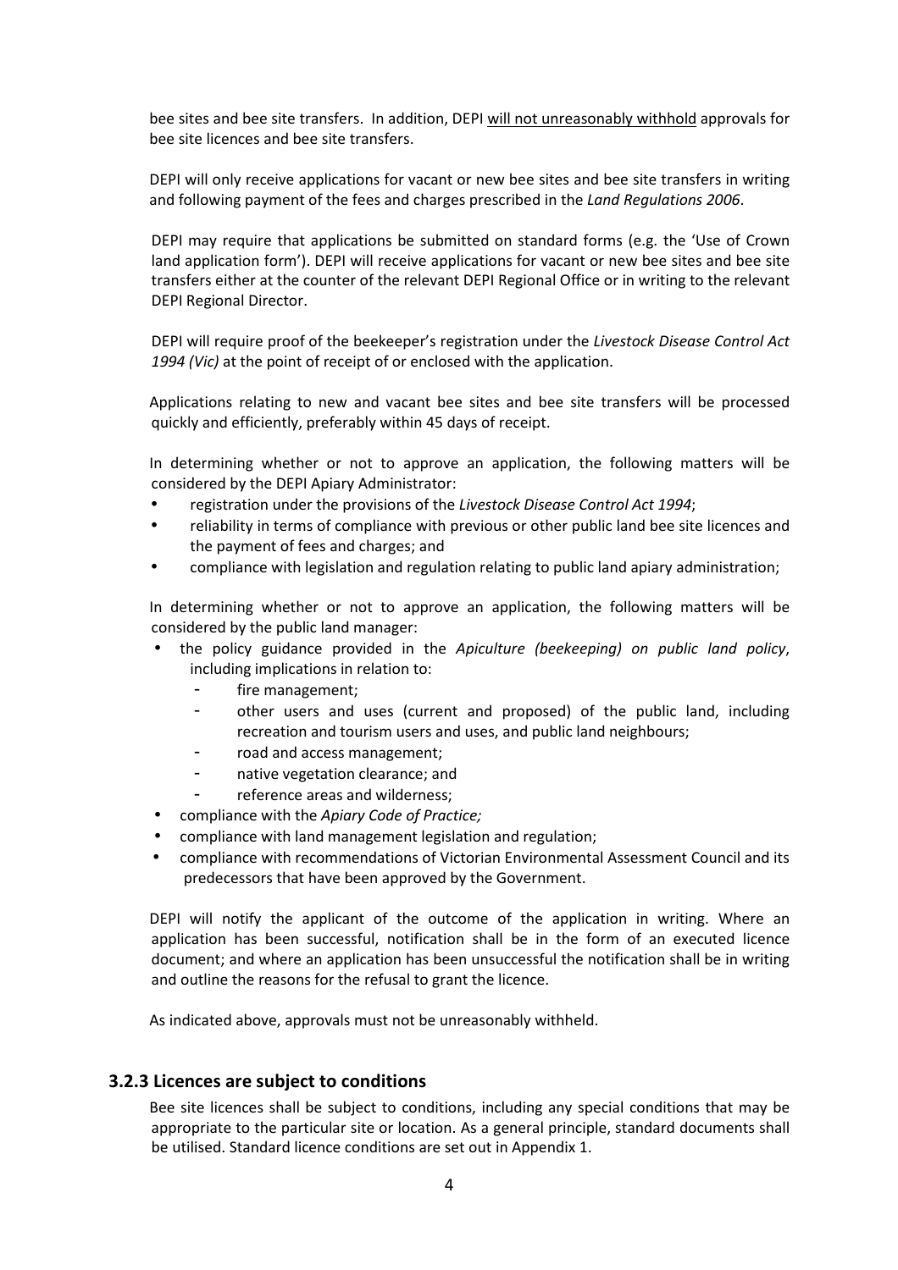bee sites and bee site transfers. In addition, DEPI will not unreasonably withhold approvals for bee site licences and bee site transfers.

DEPI will only receive applications for vacant or new bee sites and bee site transfers in writing and following payment of the fees and charges prescribed in the *Land Regulations 2006*.

DEPI may require that applications be submitted on standard forms (e.g. the 'Use of Crown land application form'). DEPI will receive applications for vacant or new bee sites and bee site transfers either at the counter of the relevant DEPI Regional Office or in writing to the relevant DEPI Regional Director.

DEPI will require proof of the beekeeper's registration under the *Livestock Disease Control Act 1994 (Vic)* at the point of receipt of or enclosed with the application.

Applications relating to new and vacant bee sites and bee site transfers will be processed quickly and efficiently, preferably within 45 days of receipt.

In determining whether or not to approve an application, the following matters will be considered by the DEPI Apiary Administrator:

- registration under the provisions of the *Livestock Disease Control Act 1994*;
- reliability in terms of compliance with previous or other public land bee site licences and the payment of fees and charges; and
- compliance with legislation and regulation relating to public land apiary administration;

In determining whether or not to approve an application, the following matters will be considered by the public land manager:

- the policy guidance provided in the *Apiculture (beekeeping) on public land policy*, including implications in relation to:
	- fire management;
	- other users and uses (current and proposed) of the public land, including recreation and tourism users and uses, and public land neighbours;
	- road and access management:
	- native vegetation clearance; and
	- reference areas and wilderness;
- compliance with the *Apiary Code of Practice;*
- compliance with land management legislation and regulation;
- compliance with recommendations of Victorian Environmental Assessment Council and its predecessors that have been approved by the Government.

DEPI will notify the applicant of the outcome of the application in writing. Where an application has been successful, notification shall be in the form of an executed licence document; and where an application has been unsuccessful the notification shall be in writing and outline the reasons for the refusal to grant the licence.

As indicated above, approvals must not be unreasonably withheld.

#### **3.2.3 Licences are subject to conditions**

Bee site licences shall be subject to conditions, including any special conditions that may be appropriate to the particular site or location. As a general principle, standard documents shall be utilised. Standard licence conditions are set out in Appendix 1.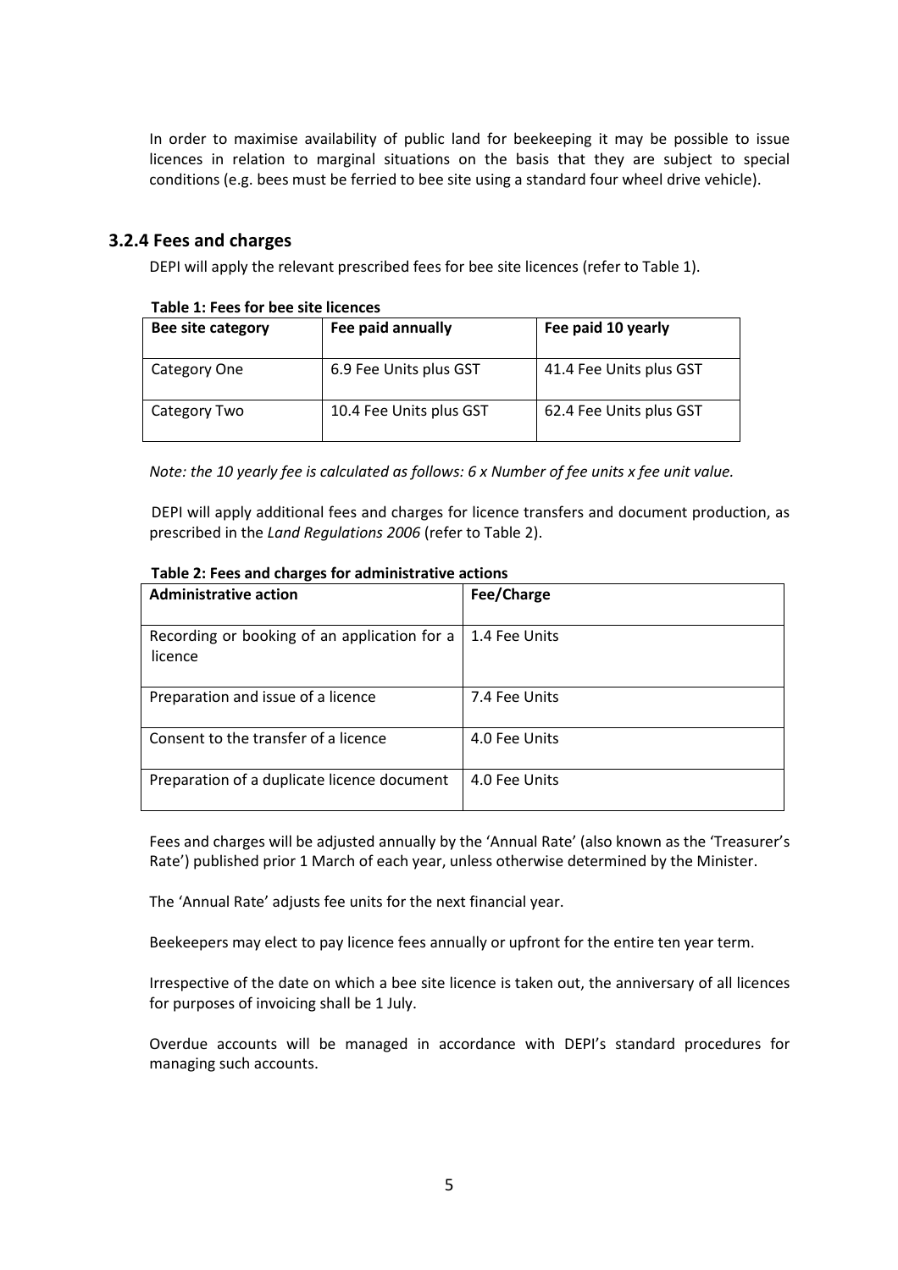In order to maximise availability of public land for beekeeping it may be possible to issue licences in relation to marginal situations on the basis that they are subject to special conditions (e.g. bees must be ferried to bee site using a standard four wheel drive vehicle).

### **3.2.4 Fees and charges**

DEPI will apply the relevant prescribed fees for bee site licences (refer to Table 1).

| Bee site category | Fee paid annually       | Fee paid 10 yearly      |  |  |
|-------------------|-------------------------|-------------------------|--|--|
| Category One      | 6.9 Fee Units plus GST  | 41.4 Fee Units plus GST |  |  |
| Category Two      | 10.4 Fee Units plus GST | 62.4 Fee Units plus GST |  |  |

#### **Table 1: Fees for bee site licences**

*Note: the 10 yearly fee is calculated as follows: 6 x Number of fee units x fee unit value.* 

DEPI will apply additional fees and charges for licence transfers and document production, as prescribed in the *Land Regulations 2006* (refer to Table 2).

| <b>Administrative action</b>                            | Fee/Charge    |
|---------------------------------------------------------|---------------|
| Recording or booking of an application for a<br>licence | 1.4 Fee Units |
| Preparation and issue of a licence                      | 7.4 Fee Units |
| Consent to the transfer of a licence                    | 4.0 Fee Units |
| Preparation of a duplicate licence document             | 4.0 Fee Units |

#### **Table 2: Fees and charges for administrative actions**

Fees and charges will be adjusted annually by the 'Annual Rate' (also known as the 'Treasurer's Rate') published prior 1 March of each year, unless otherwise determined by the Minister.

The 'Annual Rate' adjusts fee units for the next financial year.

Beekeepers may elect to pay licence fees annually or upfront for the entire ten year term.

Irrespective of the date on which a bee site licence is taken out, the anniversary of all licences for purposes of invoicing shall be 1 July.

Overdue accounts will be managed in accordance with DEPI's standard procedures for managing such accounts.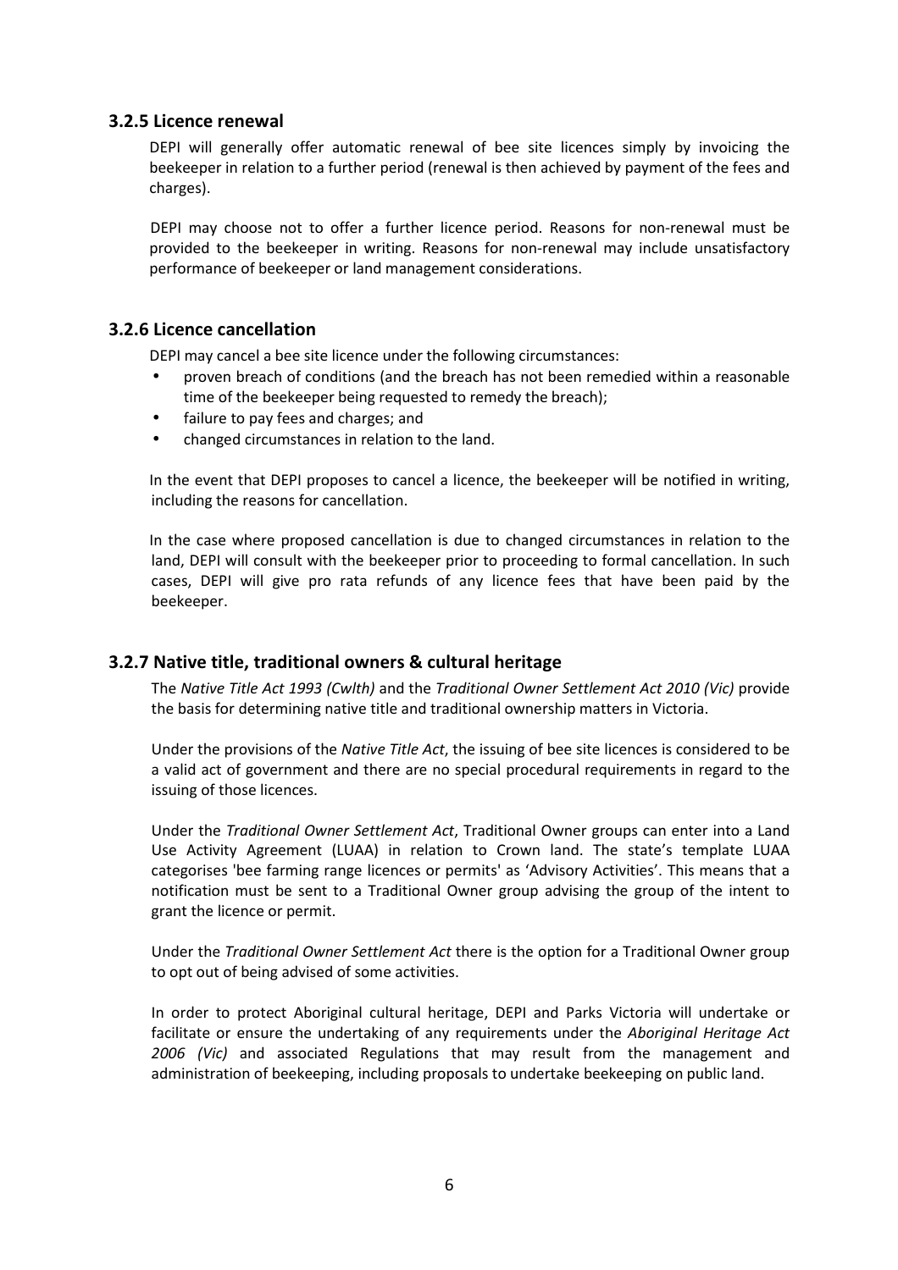### **3.2.5 Licence renewal**

DEPI will generally offer automatic renewal of bee site licences simply by invoicing the beekeeper in relation to a further period (renewal is then achieved by payment of the fees and charges).

DEPI may choose not to offer a further licence period. Reasons for non-renewal must be provided to the beekeeper in writing. Reasons for non-renewal may include unsatisfactory performance of beekeeper or land management considerations.

### **3.2.6 Licence cancellation**

DEPI may cancel a bee site licence under the following circumstances:

- proven breach of conditions (and the breach has not been remedied within a reasonable time of the beekeeper being requested to remedy the breach);
- failure to pay fees and charges; and
- changed circumstances in relation to the land.

In the event that DEPI proposes to cancel a licence, the beekeeper will be notified in writing, including the reasons for cancellation.

In the case where proposed cancellation is due to changed circumstances in relation to the land, DEPI will consult with the beekeeper prior to proceeding to formal cancellation. In such cases, DEPI will give pro rata refunds of any licence fees that have been paid by the beekeeper.

### **3.2.7 Native title, traditional owners & cultural heritage**

The *Native Title Act 1993 (Cwlth)* and the *Traditional Owner Settlement Act 2010 (Vic)* provide the basis for determining native title and traditional ownership matters in Victoria.

Under the provisions of the *Native Title Act*, the issuing of bee site licences is considered to be a valid act of government and there are no special procedural requirements in regard to the issuing of those licences.

Under the *Traditional Owner Settlement Act*, Traditional Owner groups can enter into a Land Use Activity Agreement (LUAA) in relation to Crown land. The state's template LUAA categorises 'bee farming range licences or permits' as 'Advisory Activities'. This means that a notification must be sent to a Traditional Owner group advising the group of the intent to grant the licence or permit.

Under the *Traditional Owner Settlement Act* there is the option for a Traditional Owner group to opt out of being advised of some activities.

In order to protect Aboriginal cultural heritage, DEPI and Parks Victoria will undertake or facilitate or ensure the undertaking of any requirements under the *Aboriginal Heritage Act 2006 (Vic)* and associated Regulations that may result from the management and administration of beekeeping, including proposals to undertake beekeeping on public land.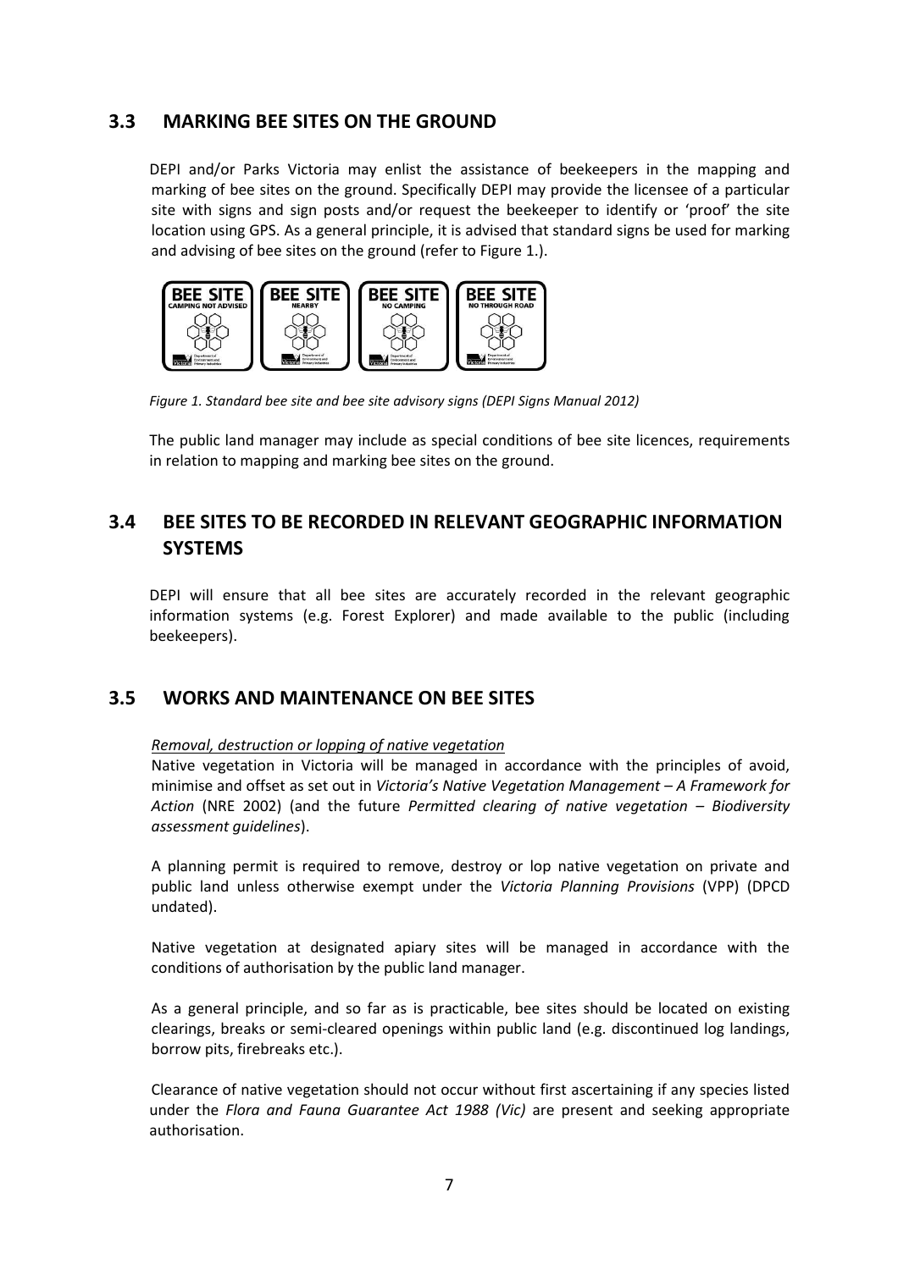## **3.3 MARKING BEE SITES ON THE GROUND**

DEPI and/or Parks Victoria may enlist the assistance of beekeepers in the mapping and marking of bee sites on the ground. Specifically DEPI may provide the licensee of a particular site with signs and sign posts and/or request the beekeeper to identify or 'proof' the site location using GPS. As a general principle, it is advised that standard signs be used for marking and advising of bee sites on the ground (refer to Figure 1.).



*Figure 1. Standard bee site and bee site advisory signs (DEPI Signs Manual 2012)* 

The public land manager may include as special conditions of bee site licences, requirements in relation to mapping and marking bee sites on the ground.

# **3.4 BEE SITES TO BE RECORDED IN RELEVANT GEOGRAPHIC INFORMATION SYSTEMS**

DEPI will ensure that all bee sites are accurately recorded in the relevant geographic information systems (e.g. Forest Explorer) and made available to the public (including beekeepers).

## **3.5 WORKS AND MAINTENANCE ON BEE SITES**

### *Removal, destruction or lopping of native vegetation*

Native vegetation in Victoria will be managed in accordance with the principles of avoid, minimise and offset as set out in *Victoria's Native Vegetation Management – A Framework for Action* (NRE 2002) (and the future *Permitted clearing of native vegetation – Biodiversity assessment guidelines*).

A planning permit is required to remove, destroy or lop native vegetation on private and public land unless otherwise exempt under the *Victoria Planning Provisions* (VPP) (DPCD undated).

Native vegetation at designated apiary sites will be managed in accordance with the conditions of authorisation by the public land manager.

As a general principle, and so far as is practicable, bee sites should be located on existing clearings, breaks or semi-cleared openings within public land (e.g. discontinued log landings, borrow pits, firebreaks etc.).

Clearance of native vegetation should not occur without first ascertaining if any species listed under the *Flora and Fauna Guarantee Act 1988 (Vic)* are present and seeking appropriate authorisation.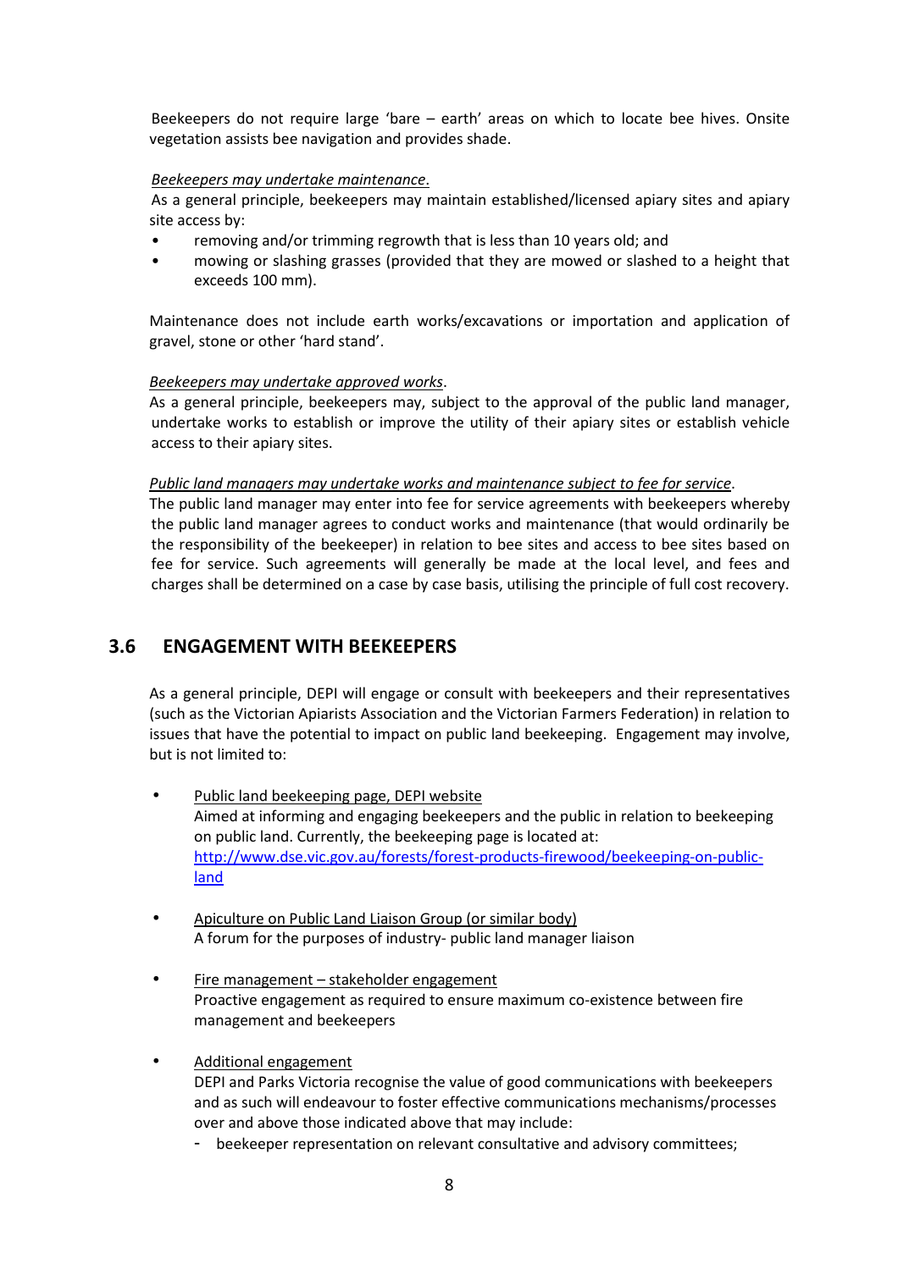Beekeepers do not require large 'bare – earth' areas on which to locate bee hives. Onsite vegetation assists bee navigation and provides shade.

#### *Beekeepers may undertake maintenance*.

As a general principle, beekeepers may maintain established/licensed apiary sites and apiary site access by:

- removing and/or trimming regrowth that is less than 10 years old; and
- mowing or slashing grasses (provided that they are mowed or slashed to a height that exceeds 100 mm).

Maintenance does not include earth works/excavations or importation and application of gravel, stone or other 'hard stand'.

#### *Beekeepers may undertake approved works*.

As a general principle, beekeepers may, subject to the approval of the public land manager, undertake works to establish or improve the utility of their apiary sites or establish vehicle access to their apiary sites.

#### *Public land managers may undertake works and maintenance subject to fee for service*.

The public land manager may enter into fee for service agreements with beekeepers whereby the public land manager agrees to conduct works and maintenance (that would ordinarily be the responsibility of the beekeeper) in relation to bee sites and access to bee sites based on fee for service. Such agreements will generally be made at the local level, and fees and charges shall be determined on a case by case basis, utilising the principle of full cost recovery.

## **3.6 ENGAGEMENT WITH BEEKEEPERS**

As a general principle, DEPI will engage or consult with beekeepers and their representatives (such as the Victorian Apiarists Association and the Victorian Farmers Federation) in relation to issues that have the potential to impact on public land beekeeping. Engagement may involve, but is not limited to:

- Public land beekeeping page, DEPI website Aimed at informing and engaging beekeepers and the public in relation to beekeeping on public land. Currently, the beekeeping page is located at: http://www.dse.vic.gov.au/forests/forest-products-firewood/beekeeping-on-publicland
- Apiculture on Public Land Liaison Group (or similar body) A forum for the purposes of industry- public land manager liaison
- Fire management stakeholder engagement Proactive engagement as required to ensure maximum co-existence between fire management and beekeepers
- Additional engagement DEPI and Parks Victoria recognise the value of good communications with beekeepers and as such will endeavour to foster effective communications mechanisms/processes over and above those indicated above that may include:
	- beekeeper representation on relevant consultative and advisory committees;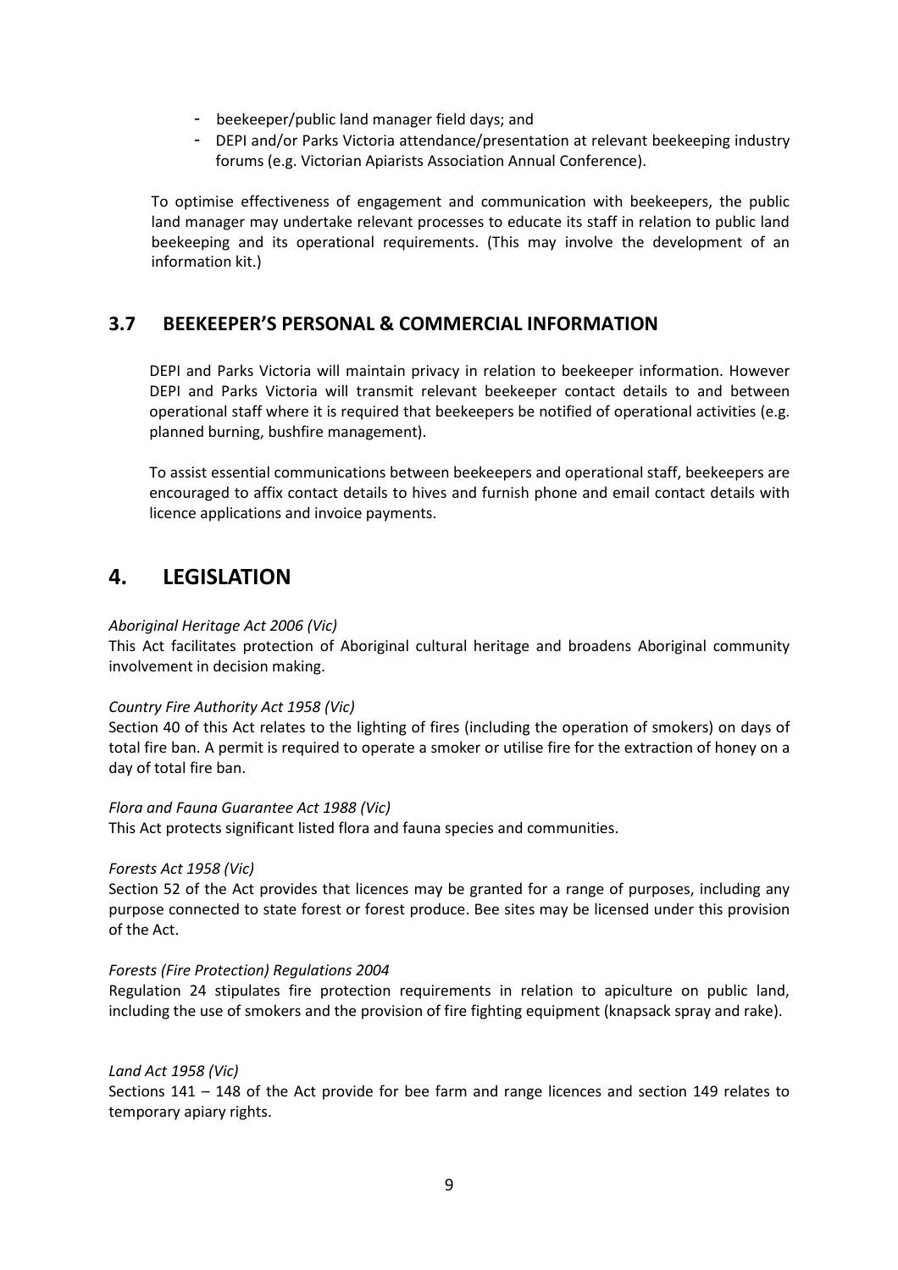- beekeeper/public land manager field days; and
- DEPI and/or Parks Victoria attendance/presentation at relevant beekeeping industry forums (e.g. Victorian Apiarists Association Annual Conference).

To optimise effectiveness of engagement and communication with beekeepers, the public land manager may undertake relevant processes to educate its staff in relation to public land beekeeping and its operational requirements. (This may involve the development of an information kit.)

## **3.7 BEEKEEPER'S PERSONAL & COMMERCIAL INFORMATION**

DEPI and Parks Victoria will maintain privacy in relation to beekeeper information. However DEPI and Parks Victoria will transmit relevant beekeeper contact details to and between operational staff where it is required that beekeepers be notified of operational activities (e.g. planned burning, bushfire management).

To assist essential communications between beekeepers and operational staff, beekeepers are encouraged to affix contact details to hives and furnish phone and email contact details with licence applications and invoice payments.

# **4. LEGISLATION**

#### *Aboriginal Heritage Act 2006 (Vic)*

This Act facilitates protection of Aboriginal cultural heritage and broadens Aboriginal community involvement in decision making.

#### *Country Fire Authority Act 1958 (Vic)*

Section 40 of this Act relates to the lighting of fires (including the operation of smokers) on days of total fire ban. A permit is required to operate a smoker or utilise fire for the extraction of honey on a day of total fire ban.

#### *Flora and Fauna Guarantee Act 1988 (Vic)*

This Act protects significant listed flora and fauna species and communities.

#### *Forests Act 1958 (Vic)*

Section 52 of the Act provides that licences may be granted for a range of purposes, including any purpose connected to state forest or forest produce. Bee sites may be licensed under this provision of the Act.

#### *Forests (Fire Protection) Regulations 2004*

Regulation 24 stipulates fire protection requirements in relation to apiculture on public land, including the use of smokers and the provision of fire fighting equipment (knapsack spray and rake).

#### *Land Act 1958 (Vic)*

Sections 141 – 148 of the Act provide for bee farm and range licences and section 149 relates to temporary apiary rights.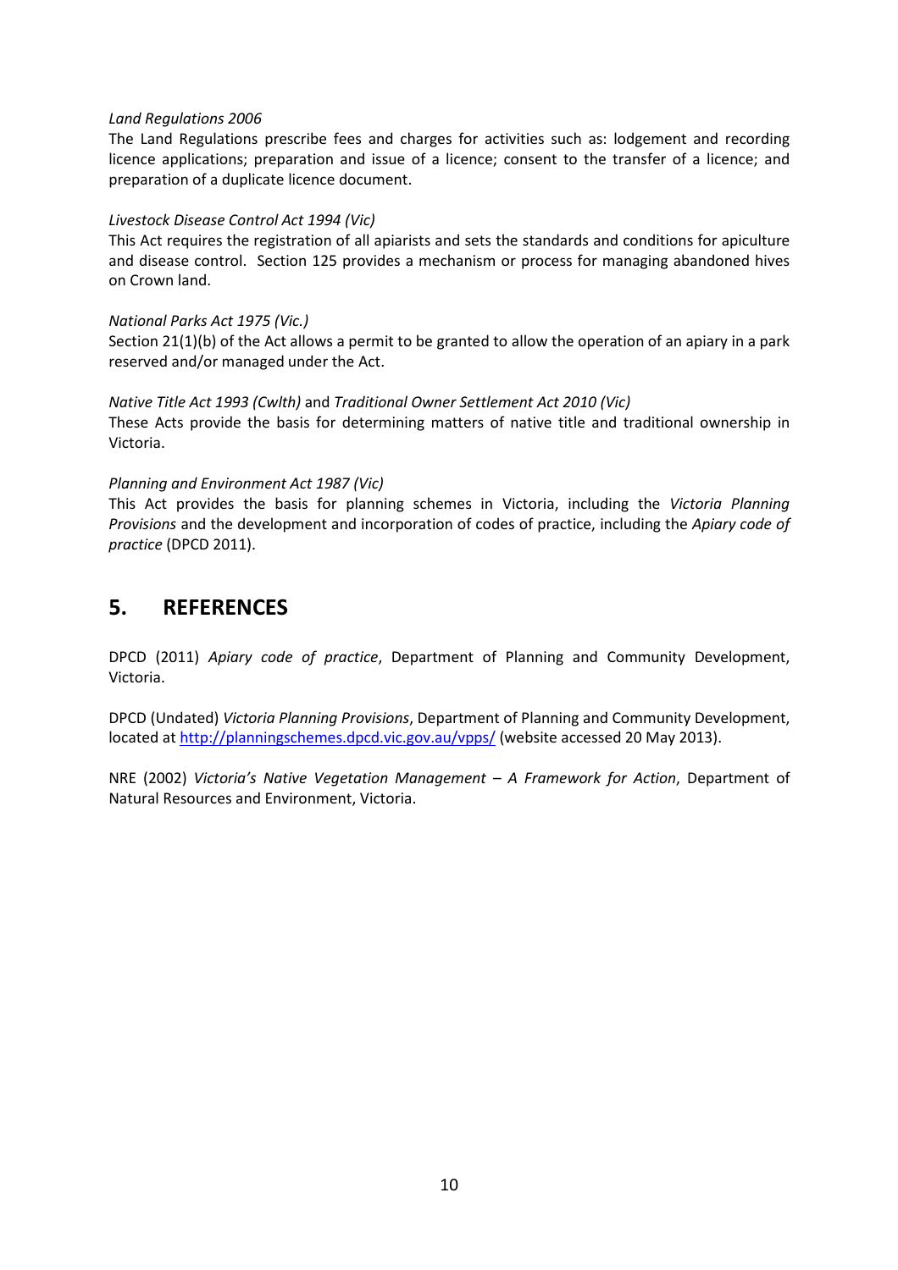#### *Land Regulations 2006*

The Land Regulations prescribe fees and charges for activities such as: lodgement and recording licence applications; preparation and issue of a licence; consent to the transfer of a licence; and preparation of a duplicate licence document.

#### *Livestock Disease Control Act 1994 (Vic)*

This Act requires the registration of all apiarists and sets the standards and conditions for apiculture and disease control. Section 125 provides a mechanism or process for managing abandoned hives on Crown land.

#### *National Parks Act 1975 (Vic.)*

Section 21(1)(b) of the Act allows a permit to be granted to allow the operation of an apiary in a park reserved and/or managed under the Act.

#### *Native Title Act 1993 (Cwlth)* and *Traditional Owner Settlement Act 2010 (Vic)*

These Acts provide the basis for determining matters of native title and traditional ownership in Victoria.

#### *Planning and Environment Act 1987 (Vic)*

This Act provides the basis for planning schemes in Victoria, including the *Victoria Planning Provisions* and the development and incorporation of codes of practice, including the *Apiary code of practice* (DPCD 2011).

# **5. REFERENCES**

DPCD (2011) *Apiary code of practice*, Department of Planning and Community Development, Victoria.

DPCD (Undated) *Victoria Planning Provisions*, Department of Planning and Community Development, located at http://planningschemes.dpcd.vic.gov.au/vpps/ (website accessed 20 May 2013).

NRE (2002) *Victoria's Native Vegetation Management – A Framework for Action*, Department of Natural Resources and Environment, Victoria.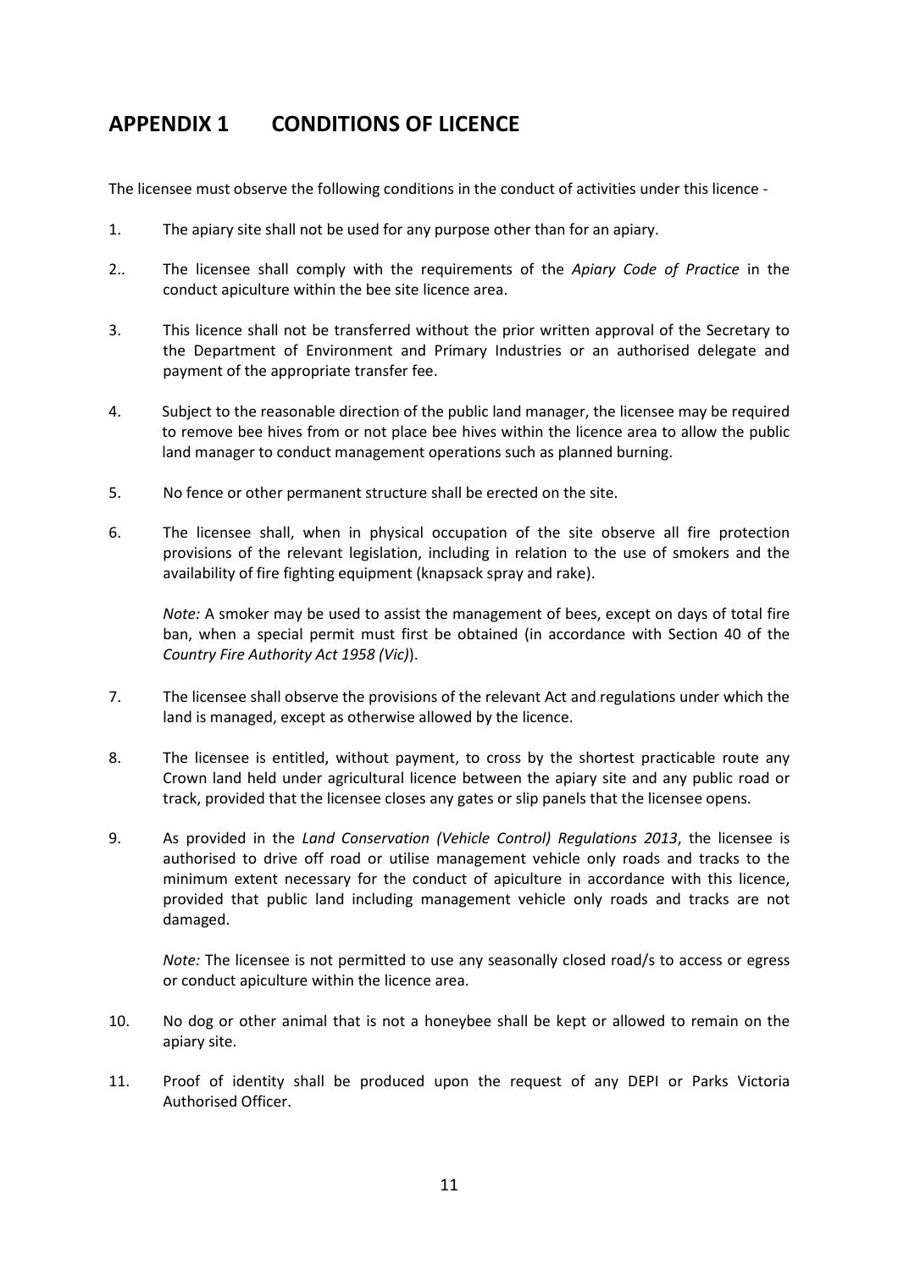# **APPENDIX 1 CONDITIONS OF LICENCE**

The licensee must observe the following conditions in the conduct of activities under this licence -

- 1. The apiary site shall not be used for any purpose other than for an apiary.
- 2.. The licensee shall comply with the requirements of the *Apiary Code of Practice* in the conduct apiculture within the bee site licence area.
- 3. This licence shall not be transferred without the prior written approval of the Secretary to the Department of Environment and Primary Industries or an authorised delegate and payment of the appropriate transfer fee.
- 4. Subject to the reasonable direction of the public land manager, the licensee may be required to remove bee hives from or not place bee hives within the licence area to allow the public land manager to conduct management operations such as planned burning.
- 5. No fence or other permanent structure shall be erected on the site.
- 6. The licensee shall, when in physical occupation of the site observe all fire protection provisions of the relevant legislation, including in relation to the use of smokers and the availability of fire fighting equipment (knapsack spray and rake).

*Note:* A smoker may be used to assist the management of bees, except on days of total fire ban, when a special permit must first be obtained (in accordance with Section 40 of the *Country Fire Authority Act 1958 (Vic)*).

- 7. The licensee shall observe the provisions of the relevant Act and regulations under which the land is managed, except as otherwise allowed by the licence.
- 8. The licensee is entitled, without payment, to cross by the shortest practicable route any Crown land held under agricultural licence between the apiary site and any public road or track, provided that the licensee closes any gates or slip panels that the licensee opens.
- 9. As provided in the *Land Conservation (Vehicle Control) Regulations 2013*, the licensee is authorised to drive off road or utilise management vehicle only roads and tracks to the minimum extent necessary for the conduct of apiculture in accordance with this licence, provided that public land including management vehicle only roads and tracks are not damaged.

*Note:* The licensee is not permitted to use any seasonally closed road/s to access or egress or conduct apiculture within the licence area.

- 10. No dog or other animal that is not a honeybee shall be kept or allowed to remain on the apiary site.
- 11. Proof of identity shall be produced upon the request of any DEPI or Parks Victoria Authorised Officer.